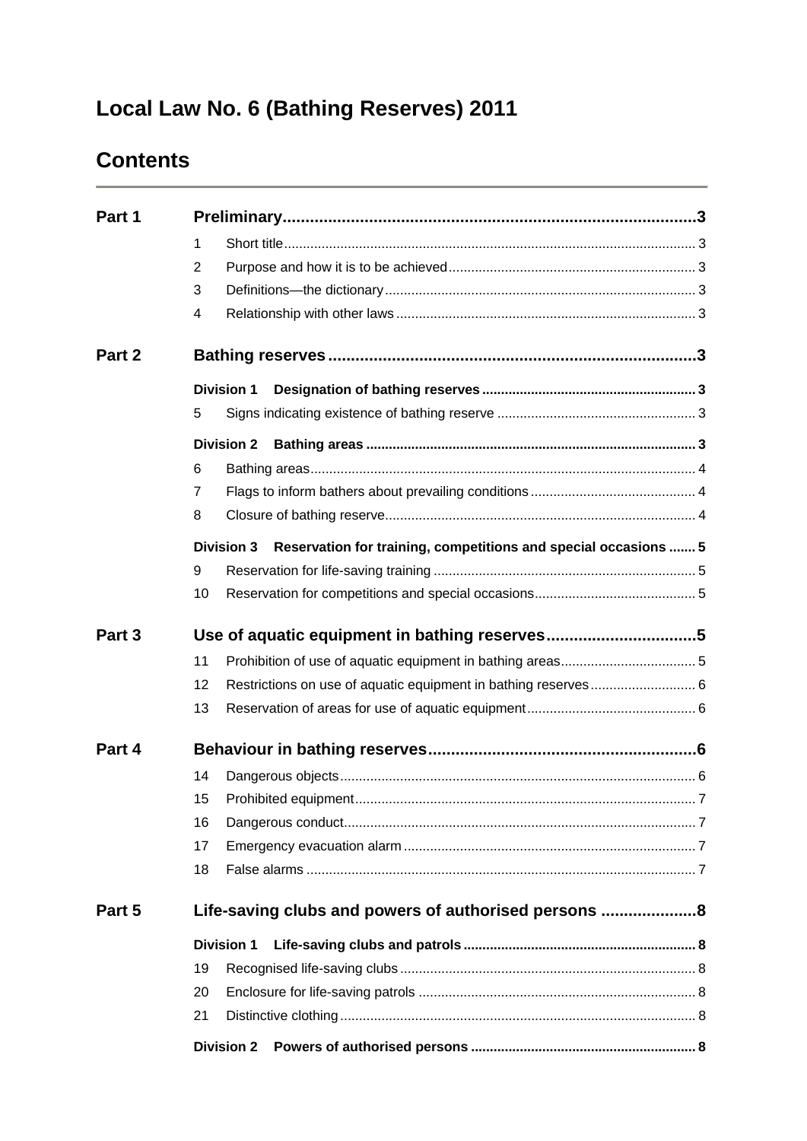# **Local Law No. 6 (Bathing Reserves) 2011**

## **Contents**

| Part 1 |                                                                                      |  |
|--------|--------------------------------------------------------------------------------------|--|
|        | 1                                                                                    |  |
|        | 2                                                                                    |  |
|        | 3                                                                                    |  |
|        | 4                                                                                    |  |
| Part 2 |                                                                                      |  |
|        | <b>Division 1</b>                                                                    |  |
|        | 5                                                                                    |  |
|        | <b>Division 2</b>                                                                    |  |
|        | 6                                                                                    |  |
|        | $\overline{7}$                                                                       |  |
|        | 8                                                                                    |  |
|        | Reservation for training, competitions and special occasions  5<br><b>Division 3</b> |  |
|        | 9                                                                                    |  |
|        | 10                                                                                   |  |
| Part 3 |                                                                                      |  |
|        | 11                                                                                   |  |
|        | 12                                                                                   |  |
|        | 13                                                                                   |  |
| Part 4 |                                                                                      |  |
|        | 14                                                                                   |  |
|        | 15                                                                                   |  |
|        | 16                                                                                   |  |
|        | 17                                                                                   |  |
|        | 18                                                                                   |  |
| Part 5 | Life-saving clubs and powers of authorised persons 8                                 |  |
|        | <b>Division 1</b>                                                                    |  |
|        | 19                                                                                   |  |
|        | 20                                                                                   |  |
|        | 21                                                                                   |  |
|        | <b>Division 2</b>                                                                    |  |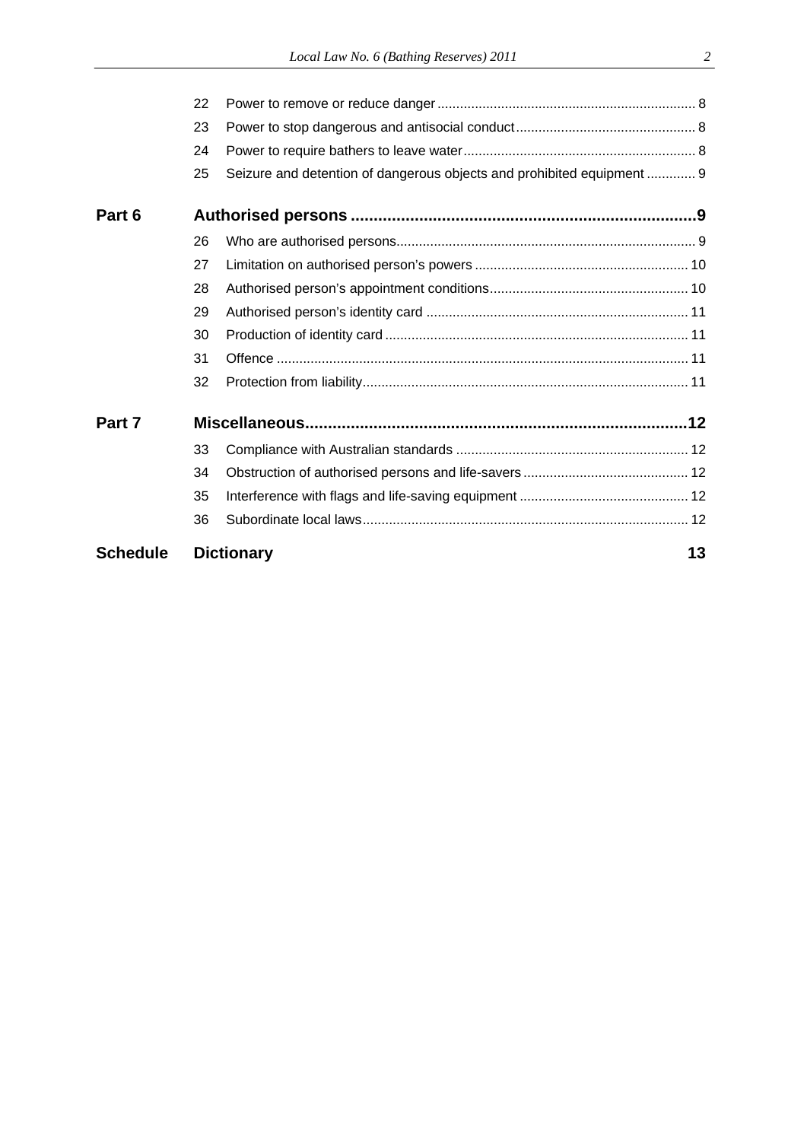| <b>Schedule</b> | <b>Dictionary</b> |                                                                        | 13 |
|-----------------|-------------------|------------------------------------------------------------------------|----|
|                 | 36                |                                                                        |    |
|                 | 35                |                                                                        |    |
|                 | 34                |                                                                        |    |
|                 | 33                |                                                                        |    |
| Part 7          |                   |                                                                        |    |
|                 | 32                |                                                                        |    |
|                 | 31                |                                                                        |    |
|                 | 30                |                                                                        |    |
|                 | 29                |                                                                        |    |
|                 | 28                |                                                                        |    |
|                 | 27                |                                                                        |    |
|                 | 26                |                                                                        |    |
| Part 6          |                   |                                                                        |    |
|                 | 25                | Seizure and detention of dangerous objects and prohibited equipment  9 |    |
|                 | 24                |                                                                        |    |
|                 | 23                |                                                                        |    |
|                 | 22                |                                                                        |    |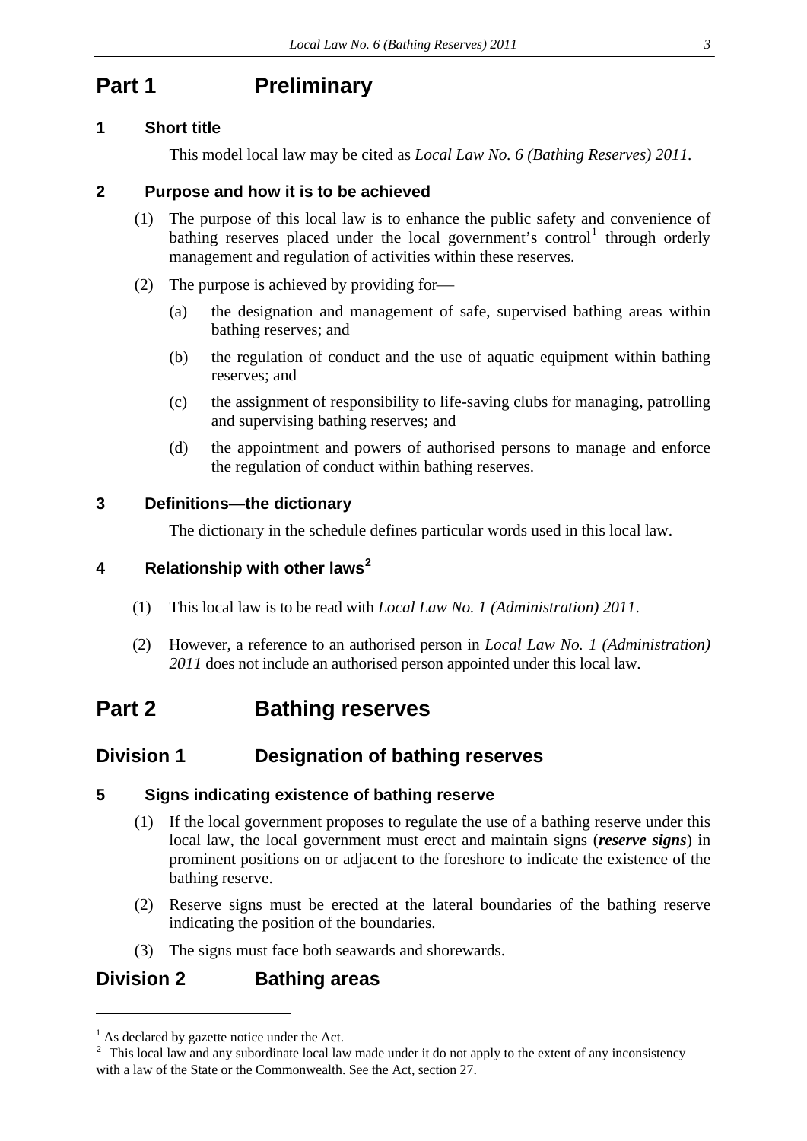## <span id="page-2-0"></span>**Part 1** Preliminary

### <span id="page-2-1"></span>**1 Short title**

This model local law may be cited as *Local Law No. 6 (Bathing Reserves) 2011.*

### <span id="page-2-2"></span>**2 Purpose and how it is to be achieved**

- (1) The purpose of this local law is to enhance the public safety and convenience of bathing reserves placed under the local government's control<sup>[1](#page-2-9)</sup> through orderly management and regulation of activities within these reserves.
- (2) The purpose is achieved by providing for
	- (a) the designation and management of safe, supervised bathing areas within bathing reserves; and
	- (b) the regulation of conduct and the use of aquatic equipment within bathing reserves; and
	- (c) the assignment of responsibility to life-saving clubs for managing, patrolling and supervising bathing reserves; and
	- (d) the appointment and powers of authorised persons to manage and enforce the regulation of conduct within bathing reserves.

### <span id="page-2-3"></span>**3 Definitions—the dictionary**

The dictionary in the schedule defines particular words used in this local law.

### <span id="page-2-4"></span>**4 Relationship with other laws[2](#page-2-10)**

- (1) This local law is to be read with *Local Law No. 1 (Administration) 2011*.
- (2) However, a reference to an authorised person in *Local Law No. 1 (Administration) 2011* does not include an authorised person appointed under this local law.

## <span id="page-2-5"></span>**Part 2 Bathing reserves**

### <span id="page-2-6"></span>**Division 1 Designation of bathing reserves**

### <span id="page-2-7"></span>**5 Signs indicating existence of bathing reserve**

- (1) If the local government proposes to regulate the use of a bathing reserve under this local law, the local government must erect and maintain signs (*reserve signs*) in prominent positions on or adjacent to the foreshore to indicate the existence of the bathing reserve.
- (2) Reserve signs must be erected at the lateral boundaries of the bathing reserve indicating the position of the boundaries.
- (3) The signs must face both seawards and shorewards.

### <span id="page-2-8"></span>**Division 2 Bathing areas**

<u>.</u>

<span id="page-2-9"></span><sup>&</sup>lt;sup>1</sup> As declared by gazette notice under the Act.

<span id="page-2-10"></span><sup>&</sup>lt;sup>2</sup> This local law and any subordinate local law made under it do not apply to the extent of any inconsistency with a law of the State or the Commonwealth. See the Act, section 27.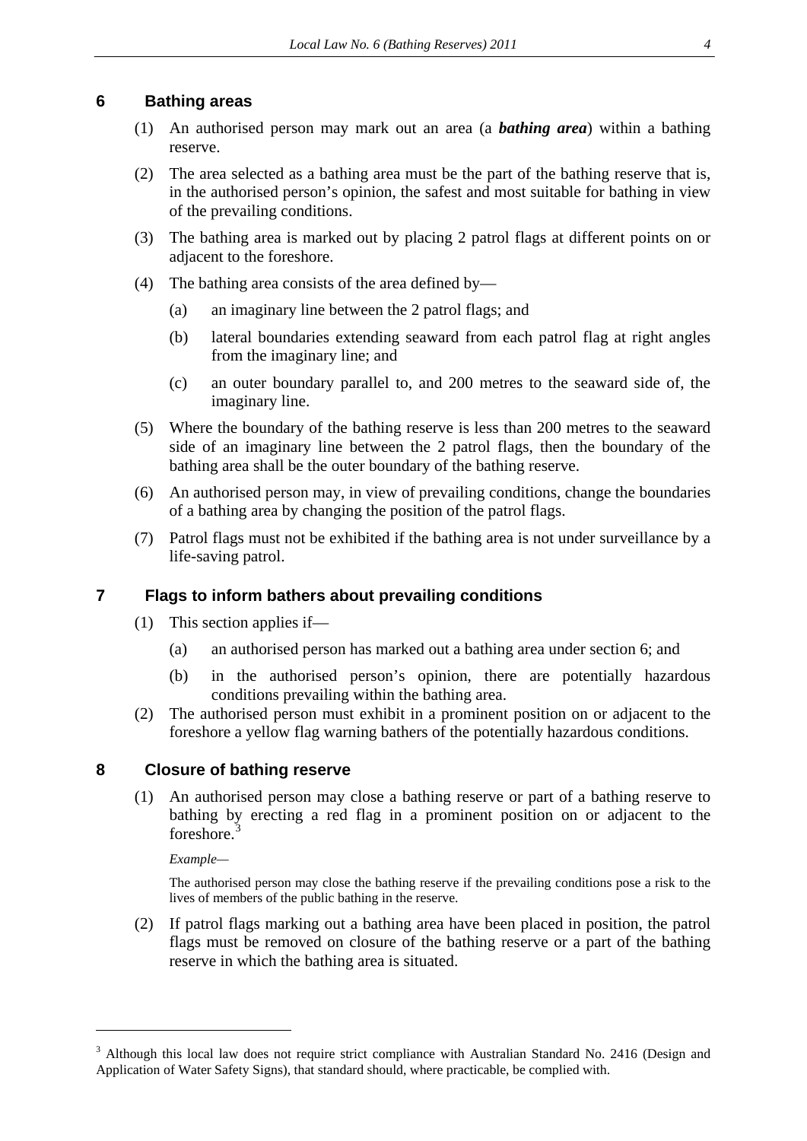### <span id="page-3-0"></span>**6 Bathing areas**

- (1) An authorised person may mark out an area (a *bathing area*) within a bathing reserve.
- (2) The area selected as a bathing area must be the part of the bathing reserve that is, in the authorised person's opinion, the safest and most suitable for bathing in view of the prevailing conditions.
- (3) The bathing area is marked out by placing 2 patrol flags at different points on or adjacent to the foreshore.
- (4) The bathing area consists of the area defined by—
	- (a) an imaginary line between the 2 patrol flags; and
	- (b) lateral boundaries extending seaward from each patrol flag at right angles from the imaginary line; and
	- (c) an outer boundary parallel to, and 200 metres to the seaward side of, the imaginary line.
- (5) Where the boundary of the bathing reserve is less than 200 metres to the seaward side of an imaginary line between the 2 patrol flags, then the boundary of the bathing area shall be the outer boundary of the bathing reserve.
- (6) An authorised person may, in view of prevailing conditions, change the boundaries of a bathing area by changing the position of the patrol flags.
- (7) Patrol flags must not be exhibited if the bathing area is not under surveillance by a life-saving patrol.

### <span id="page-3-1"></span>**7 Flags to inform bathers about prevailing conditions**

- (1) This section applies if—
	- (a) an authorised person has marked out a bathing area under section 6; and
	- (b) in the authorised person's opinion, there are potentially hazardous conditions prevailing within the bathing area.
- (2) The authorised person must exhibit in a prominent position on or adjacent to the foreshore a yellow flag warning bathers of the potentially hazardous conditions.

### <span id="page-3-2"></span>**8 Closure of bathing reserve**

(1) An authorised person may close a bathing reserve or part of a bathing reserve to bathing by erecting a red flag in a prominent position on or adjacent to the foreshore.<sup>[3](#page-3-3)</sup>

*Example—* 

<u>.</u>

The authorised person may close the bathing reserve if the prevailing conditions pose a risk to the lives of members of the public bathing in the reserve.

(2) If patrol flags marking out a bathing area have been placed in position, the patrol flags must be removed on closure of the bathing reserve or a part of the bathing reserve in which the bathing area is situated.

<span id="page-3-3"></span><sup>&</sup>lt;sup>3</sup> Although this local law does not require strict compliance with Australian Standard No. 2416 (Design and Application of Water Safety Signs), that standard should, where practicable, be complied with.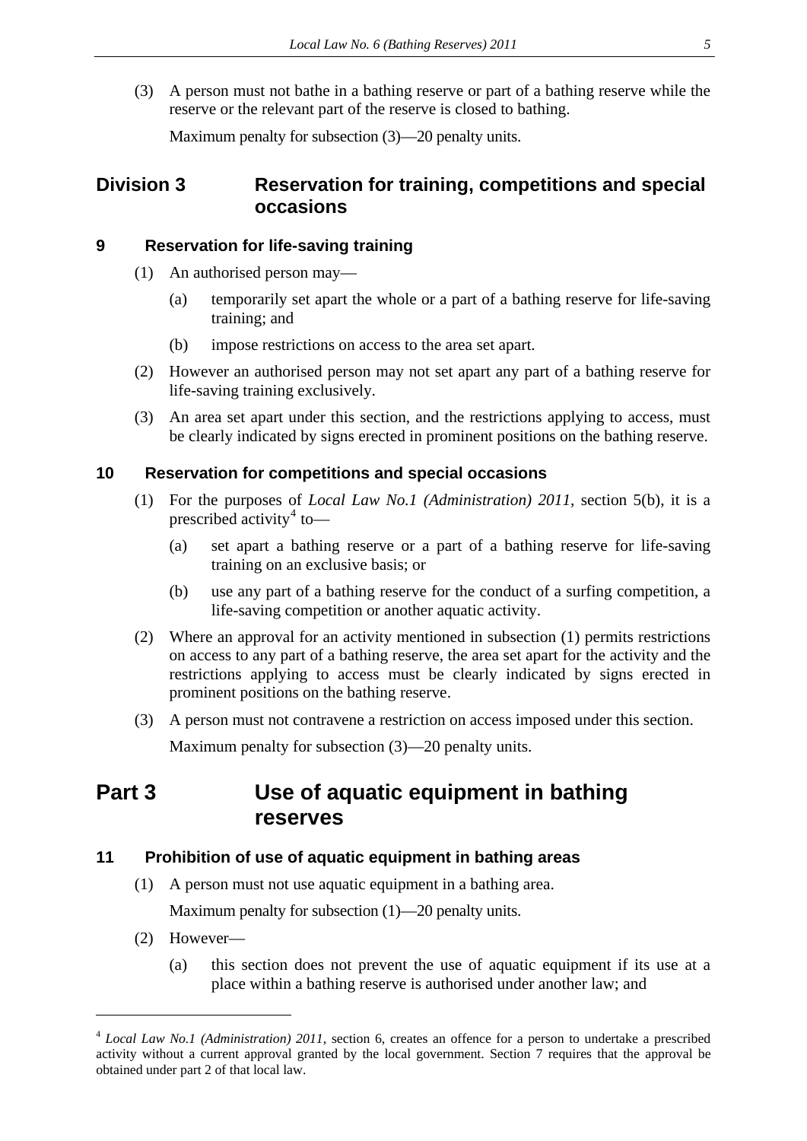(3) A person must not bathe in a bathing reserve or part of a bathing reserve while the reserve or the relevant part of the reserve is closed to bathing.

Maximum penalty for subsection (3)—20 penalty units.

### <span id="page-4-0"></span>**Division 3 Reservation for training, competitions and special occasions**

### <span id="page-4-1"></span>**9 Reservation for life-saving training**

- (1) An authorised person may—
	- (a) temporarily set apart the whole or a part of a bathing reserve for life-saving training; and
	- (b) impose restrictions on access to the area set apart.
- (2) However an authorised person may not set apart any part of a bathing reserve for life-saving training exclusively.
- (3) An area set apart under this section, and the restrictions applying to access, must be clearly indicated by signs erected in prominent positions on the bathing reserve.

#### <span id="page-4-2"></span>**10 Reservation for competitions and special occasions**

- (1) For the purposes of *Local Law No.1 (Administration) 2011*, section 5(b), it is a prescribed activity<sup>[4](#page-4-5)</sup> to-
	- (a) set apart a bathing reserve or a part of a bathing reserve for life-saving training on an exclusive basis; or
	- (b) use any part of a bathing reserve for the conduct of a surfing competition, a life-saving competition or another aquatic activity.
- (2) Where an approval for an activity mentioned in subsection (1) permits restrictions on access to any part of a bathing reserve, the area set apart for the activity and the restrictions applying to access must be clearly indicated by signs erected in prominent positions on the bathing reserve.
- (3) A person must not contravene a restriction on access imposed under this section.

Maximum penalty for subsection (3)—20 penalty units.

## <span id="page-4-3"></span>**Part 3 Use of aquatic equipment in bathing reserves**

### <span id="page-4-4"></span>**11 Prohibition of use of aquatic equipment in bathing areas**

(1) A person must not use aquatic equipment in a bathing area.

Maximum penalty for subsection (1)—20 penalty units.

(2) However—

1

(a) this section does not prevent the use of aquatic equipment if its use at a place within a bathing reserve is authorised under another law; and

<span id="page-4-5"></span><sup>4</sup> *Local Law No.1 (Administration) 2011*, section 6, creates an offence for a person to undertake a prescribed activity without a current approval granted by the local government. Section 7 requires that the approval be obtained under part 2 of that local law.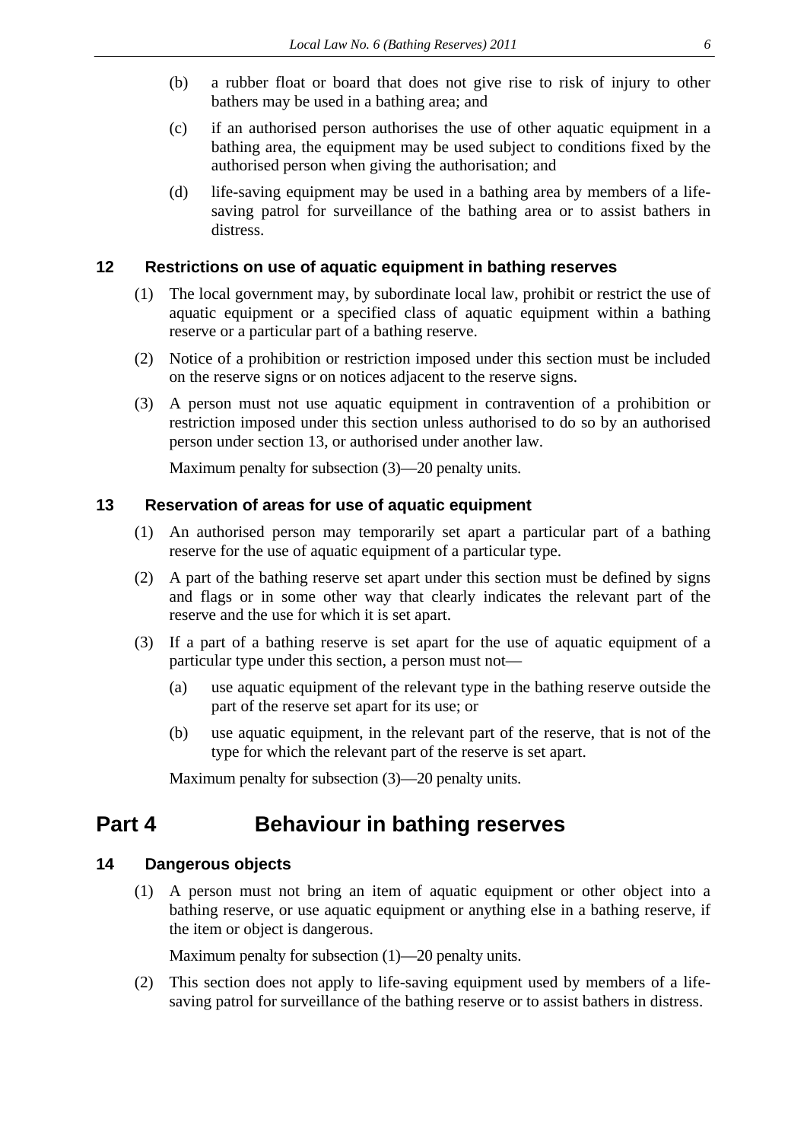- (b) a rubber float or board that does not give rise to risk of injury to other bathers may be used in a bathing area; and
- (c) if an authorised person authorises the use of other aquatic equipment in a bathing area, the equipment may be used subject to conditions fixed by the authorised person when giving the authorisation; and
- (d) life-saving equipment may be used in a bathing area by members of a lifesaving patrol for surveillance of the bathing area or to assist bathers in distress.

### <span id="page-5-0"></span>**12 Restrictions on use of aquatic equipment in bathing reserves**

- (1) The local government may, by subordinate local law, prohibit or restrict the use of aquatic equipment or a specified class of aquatic equipment within a bathing reserve or a particular part of a bathing reserve.
- (2) Notice of a prohibition or restriction imposed under this section must be included on the reserve signs or on notices adjacent to the reserve signs.
- (3) A person must not use aquatic equipment in contravention of a prohibition or restriction imposed under this section unless authorised to do so by an authorised person under section 13, or authorised under another law.

Maximum penalty for subsection (3)—20 penalty units.

### <span id="page-5-1"></span>**13 Reservation of areas for use of aquatic equipment**

- (1) An authorised person may temporarily set apart a particular part of a bathing reserve for the use of aquatic equipment of a particular type.
- (2) A part of the bathing reserve set apart under this section must be defined by signs and flags or in some other way that clearly indicates the relevant part of the reserve and the use for which it is set apart.
- (3) If a part of a bathing reserve is set apart for the use of aquatic equipment of a particular type under this section, a person must not—
	- (a) use aquatic equipment of the relevant type in the bathing reserve outside the part of the reserve set apart for its use; or
	- (b) use aquatic equipment, in the relevant part of the reserve, that is not of the type for which the relevant part of the reserve is set apart.

Maximum penalty for subsection (3)—20 penalty units.

## <span id="page-5-2"></span>**Part 4 Behaviour in bathing reserves**

### <span id="page-5-3"></span>**14 Dangerous objects**

(1) A person must not bring an item of aquatic equipment or other object into a bathing reserve, or use aquatic equipment or anything else in a bathing reserve, if the item or object is dangerous.

Maximum penalty for subsection (1)—20 penalty units.

(2) This section does not apply to life-saving equipment used by members of a lifesaving patrol for surveillance of the bathing reserve or to assist bathers in distress.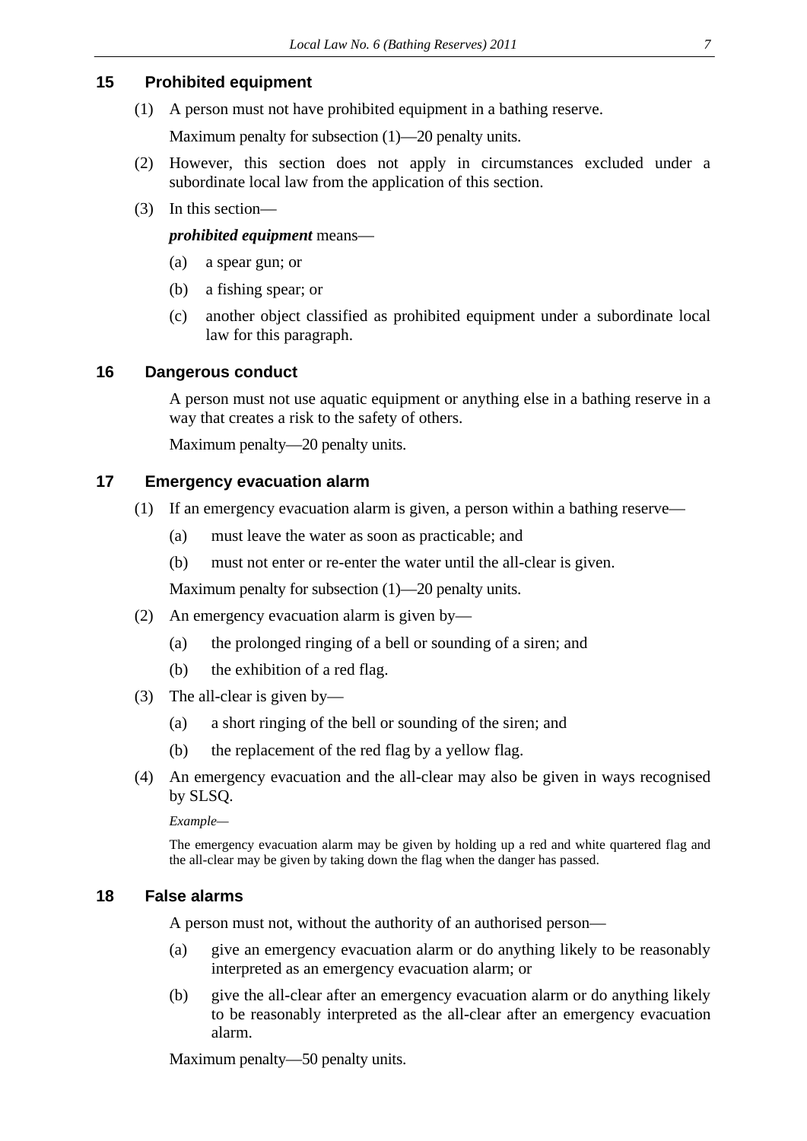### <span id="page-6-0"></span>**15 Prohibited equipment**

(1) A person must not have prohibited equipment in a bathing reserve.

Maximum penalty for subsection (1)—20 penalty units.

- (2) However, this section does not apply in circumstances excluded under a subordinate local law from the application of this section.
- (3) In this section—

### *prohibited equipment* means—

- (a) a spear gun; or
- (b) a fishing spear; or
- (c) another object classified as prohibited equipment under a subordinate local law for this paragraph.

### <span id="page-6-1"></span>**16 Dangerous conduct**

A person must not use aquatic equipment or anything else in a bathing reserve in a way that creates a risk to the safety of others.

Maximum penalty—20 penalty units.

### <span id="page-6-2"></span>**17 Emergency evacuation alarm**

- (1) If an emergency evacuation alarm is given, a person within a bathing reserve—
	- (a) must leave the water as soon as practicable; and
	- (b) must not enter or re-enter the water until the all-clear is given.

Maximum penalty for subsection (1)—20 penalty units.

- (2) An emergency evacuation alarm is given by—
	- (a) the prolonged ringing of a bell or sounding of a siren; and
	- (b) the exhibition of a red flag.
- (3) The all-clear is given by—
	- (a) a short ringing of the bell or sounding of the siren; and
	- (b) the replacement of the red flag by a yellow flag.
- (4) An emergency evacuation and the all-clear may also be given in ways recognised by SLSQ.

*Example—* 

The emergency evacuation alarm may be given by holding up a red and white quartered flag and the all-clear may be given by taking down the flag when the danger has passed.

### <span id="page-6-3"></span>**18 False alarms**

A person must not, without the authority of an authorised person—

- (a) give an emergency evacuation alarm or do anything likely to be reasonably interpreted as an emergency evacuation alarm; or
- (b) give the all-clear after an emergency evacuation alarm or do anything likely to be reasonably interpreted as the all-clear after an emergency evacuation alarm.

Maximum penalty—50 penalty units.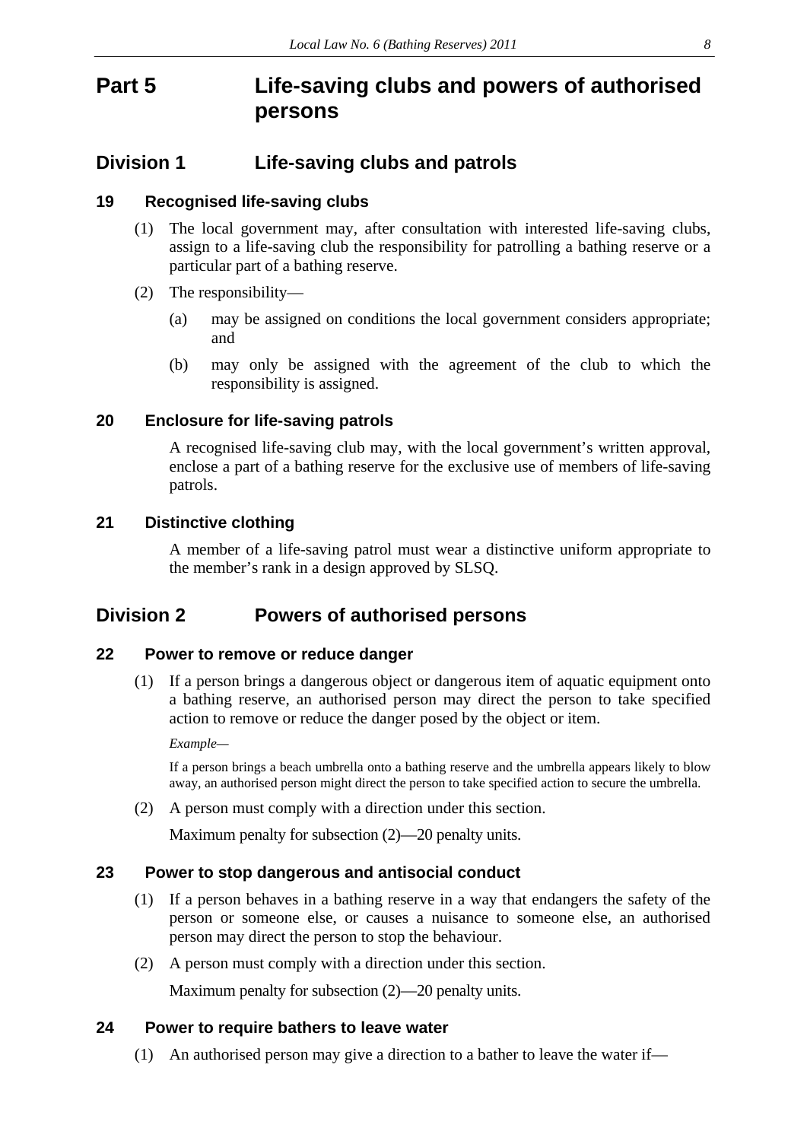## <span id="page-7-0"></span>**Part 5 Life-saving clubs and powers of authorised persons**

### <span id="page-7-1"></span>**Division 1 Life-saving clubs and patrols**

### <span id="page-7-2"></span>**19 Recognised life-saving clubs**

- (1) The local government may, after consultation with interested life-saving clubs, assign to a life-saving club the responsibility for patrolling a bathing reserve or a particular part of a bathing reserve.
- (2) The responsibility—
	- (a) may be assigned on conditions the local government considers appropriate; and
	- (b) may only be assigned with the agreement of the club to which the responsibility is assigned.

### <span id="page-7-3"></span>**20 Enclosure for life-saving patrols**

A recognised life-saving club may, with the local government's written approval, enclose a part of a bathing reserve for the exclusive use of members of life-saving patrols.

### <span id="page-7-4"></span>**21 Distinctive clothing**

A member of a life-saving patrol must wear a distinctive uniform appropriate to the member's rank in a design approved by SLSQ.

### <span id="page-7-5"></span>**Division 2 Powers of authorised persons**

### <span id="page-7-6"></span>**22 Power to remove or reduce danger**

(1) If a person brings a dangerous object or dangerous item of aquatic equipment onto a bathing reserve, an authorised person may direct the person to take specified action to remove or reduce the danger posed by the object or item.

*Example—* 

If a person brings a beach umbrella onto a bathing reserve and the umbrella appears likely to blow away, an authorised person might direct the person to take specified action to secure the umbrella.

(2) A person must comply with a direction under this section.

Maximum penalty for subsection (2)—20 penalty units.

### <span id="page-7-7"></span>**23 Power to stop dangerous and antisocial conduct**

- (1) If a person behaves in a bathing reserve in a way that endangers the safety of the person or someone else, or causes a nuisance to someone else, an authorised person may direct the person to stop the behaviour.
- (2) A person must comply with a direction under this section.

Maximum penalty for subsection (2)—20 penalty units.

### <span id="page-7-8"></span>**24 Power to require bathers to leave water**

(1) An authorised person may give a direction to a bather to leave the water if—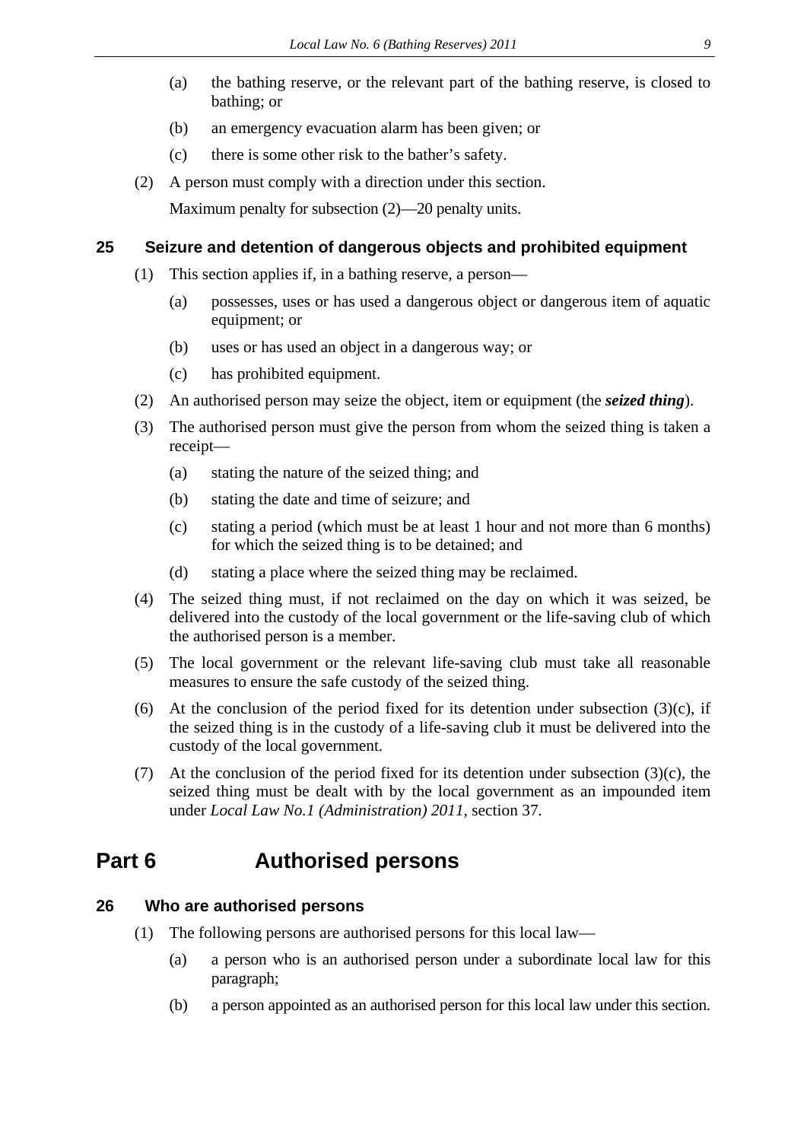- (a) the bathing reserve, or the relevant part of the bathing reserve, is closed to bathing; or
- (b) an emergency evacuation alarm has been given; or
- (c) there is some other risk to the bather's safety.
- (2) A person must comply with a direction under this section.

Maximum penalty for subsection (2)—20 penalty units.

#### <span id="page-8-0"></span>**25 Seizure and detention of dangerous objects and prohibited equipment**

- (1) This section applies if, in a bathing reserve, a person—
	- (a) possesses, uses or has used a dangerous object or dangerous item of aquatic equipment; or
	- (b) uses or has used an object in a dangerous way; or
	- (c) has prohibited equipment.
- (2) An authorised person may seize the object, item or equipment (the *seized thing*).
- (3) The authorised person must give the person from whom the seized thing is taken a receipt—
	- (a) stating the nature of the seized thing; and
	- (b) stating the date and time of seizure; and
	- (c) stating a period (which must be at least 1 hour and not more than 6 months) for which the seized thing is to be detained; and
	- (d) stating a place where the seized thing may be reclaimed.
- (4) The seized thing must, if not reclaimed on the day on which it was seized, be delivered into the custody of the local government or the life-saving club of which the authorised person is a member.
- (5) The local government or the relevant life-saving club must take all reasonable measures to ensure the safe custody of the seized thing.
- (6) At the conclusion of the period fixed for its detention under subsection  $(3)(c)$ , if the seized thing is in the custody of a life-saving club it must be delivered into the custody of the local government.
- (7) At the conclusion of the period fixed for its detention under subsection  $(3)(c)$ , the seized thing must be dealt with by the local government as an impounded item under *Local Law No.1 (Administration) 2011*, section 37*.*

## <span id="page-8-1"></span>**Part 6 Authorised persons**

### <span id="page-8-2"></span>**26 Who are authorised persons**

- (1) The following persons are authorised persons for this local law—
	- (a) a person who is an authorised person under a subordinate local law for this paragraph;
	- (b) a person appointed as an authorised person for this local law under this section.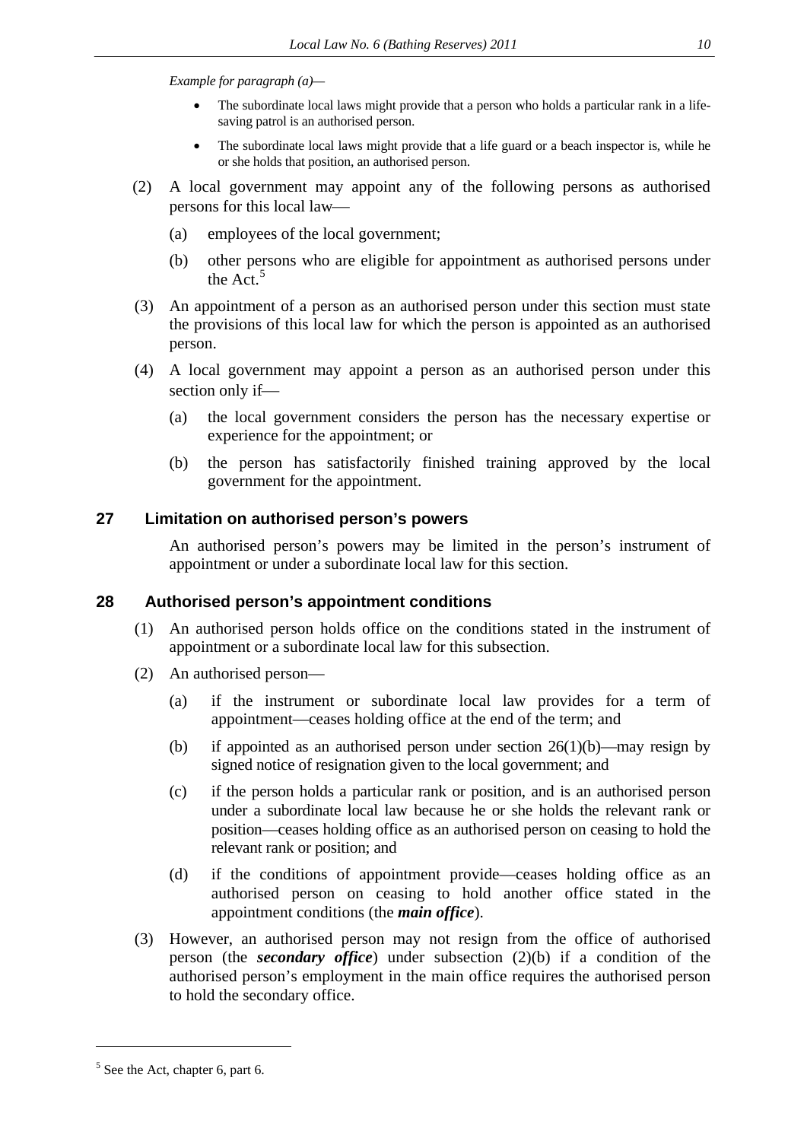*Example for paragraph (a)—* 

- The subordinate local laws might provide that a person who holds a particular rank in a lifesaving patrol is an authorised person.
- The subordinate local laws might provide that a life guard or a beach inspector is, while he or she holds that position, an authorised person.
- (2) A local government may appoint any of the following persons as authorised persons for this local law
	- (a) employees of the local government;
	- (b) other persons who are eligible for appointment as authorised persons under the Act.<sup>[5](#page-9-2)</sup>
- (3) An appointment of a person as an authorised person under this section must state the provisions of this local law for which the person is appointed as an authorised person.
- (4) A local government may appoint a person as an authorised person under this section only if-
	- (a) the local government considers the person has the necessary expertise or experience for the appointment; or
	- (b) the person has satisfactorily finished training approved by the local government for the appointment.

### <span id="page-9-0"></span>**27 Limitation on authorised person's powers**

An authorised person's powers may be limited in the person's instrument of appointment or under a subordinate local law for this section.

### <span id="page-9-1"></span>**28 Authorised person's appointment conditions**

- (1) An authorised person holds office on the conditions stated in the instrument of appointment or a subordinate local law for this subsection.
- (2) An authorised person—
	- (a) if the instrument or subordinate local law provides for a term of appointment—ceases holding office at the end of the term; and
	- (b) if appointed as an authorised person under section  $26(1)(b)$ —may resign by signed notice of resignation given to the local government; and
	- (c) if the person holds a particular rank or position, and is an authorised person under a subordinate local law because he or she holds the relevant rank or position—ceases holding office as an authorised person on ceasing to hold the relevant rank or position; and
	- (d) if the conditions of appointment provide—ceases holding office as an authorised person on ceasing to hold another office stated in the appointment conditions (the *main office*).
- (3) However, an authorised person may not resign from the office of authorised person (the *secondary office*) under subsection (2)(b) if a condition of the authorised person's employment in the main office requires the authorised person to hold the secondary office.

1

<span id="page-9-2"></span><sup>&</sup>lt;sup>5</sup> See the Act, chapter 6, part 6.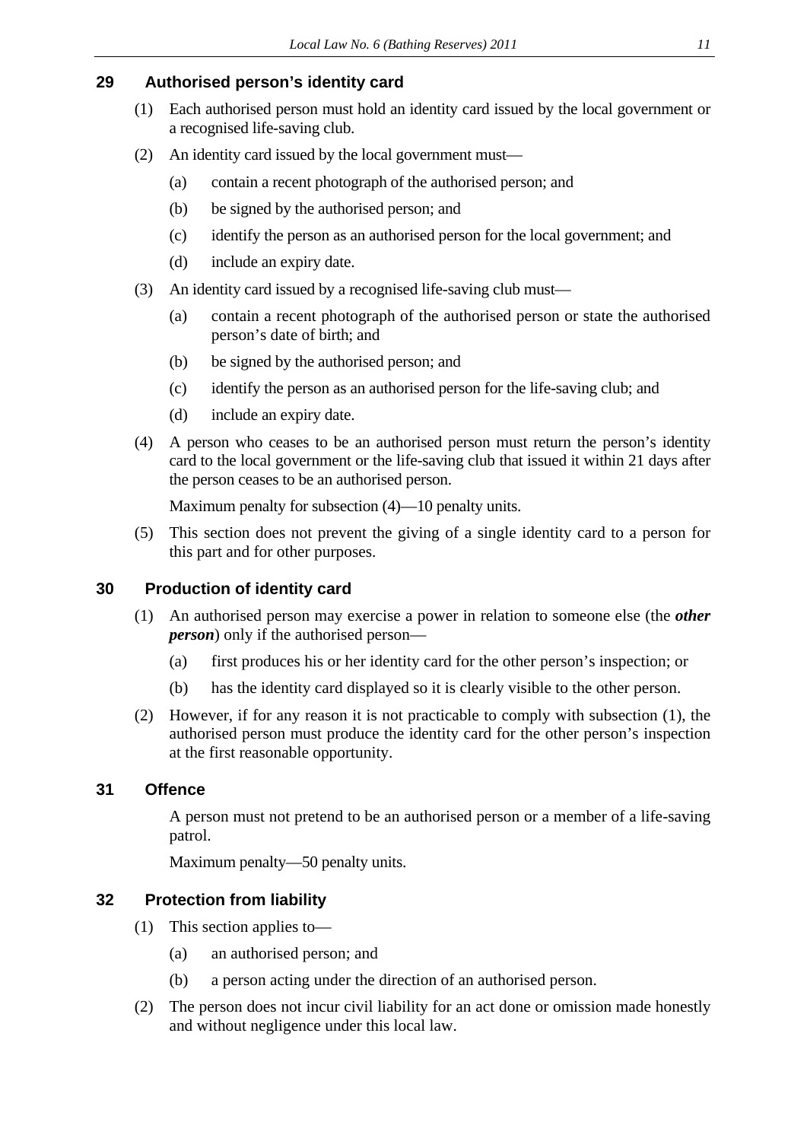### <span id="page-10-0"></span>**29 Authorised person's identity card**

- (1) Each authorised person must hold an identity card issued by the local government or a recognised life-saving club.
- (2) An identity card issued by the local government must—
	- (a) contain a recent photograph of the authorised person; and
	- (b) be signed by the authorised person; and
	- (c) identify the person as an authorised person for the local government; and
	- (d) include an expiry date.
- (3) An identity card issued by a recognised life-saving club must—
	- (a) contain a recent photograph of the authorised person or state the authorised person's date of birth; and
	- (b) be signed by the authorised person; and
	- (c) identify the person as an authorised person for the life-saving club; and
	- (d) include an expiry date.
- (4) A person who ceases to be an authorised person must return the person's identity card to the local government or the life-saving club that issued it within 21 days after the person ceases to be an authorised person.

Maximum penalty for subsection (4)—10 penalty units.

(5) This section does not prevent the giving of a single identity card to a person for this part and for other purposes.

### <span id="page-10-1"></span>**30 Production of identity card**

- (1) An authorised person may exercise a power in relation to someone else (the *other person*) only if the authorised person—
	- (a) first produces his or her identity card for the other person's inspection; or
	- (b) has the identity card displayed so it is clearly visible to the other person.
- (2) However, if for any reason it is not practicable to comply with subsection (1), the authorised person must produce the identity card for the other person's inspection at the first reasonable opportunity.

### <span id="page-10-2"></span>**31 Offence**

A person must not pretend to be an authorised person or a member of a life-saving patrol.

Maximum penalty—50 penalty units.

### <span id="page-10-3"></span>**32 Protection from liability**

- (1) This section applies to—
	- (a) an authorised person; and
	- (b) a person acting under the direction of an authorised person.
- (2) The person does not incur civil liability for an act done or omission made honestly and without negligence under this local law.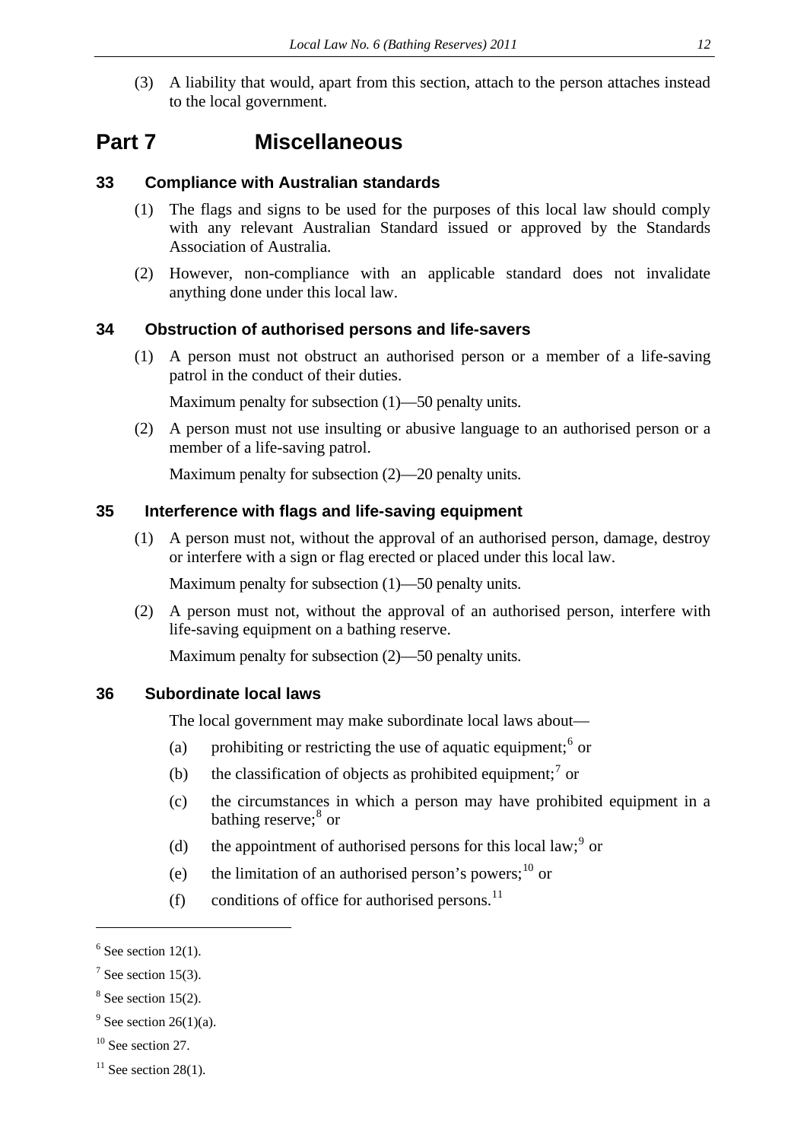(3) A liability that would, apart from this section, attach to the person attaches instead to the local government.

### <span id="page-11-0"></span>**Part 7 Miscellaneous**

### <span id="page-11-1"></span>**33 Compliance with Australian standards**

- (1) The flags and signs to be used for the purposes of this local law should comply with any relevant Australian Standard issued or approved by the Standards Association of Australia.
- (2) However, non-compliance with an applicable standard does not invalidate anything done under this local law.

#### <span id="page-11-2"></span>**34 Obstruction of authorised persons and life-savers**

(1) A person must not obstruct an authorised person or a member of a life-saving patrol in the conduct of their duties.

Maximum penalty for subsection (1)—50 penalty units.

(2) A person must not use insulting or abusive language to an authorised person or a member of a life-saving patrol.

Maximum penalty for subsection (2)—20 penalty units.

### <span id="page-11-3"></span>**35 Interference with flags and life-saving equipment**

(1) A person must not, without the approval of an authorised person, damage, destroy or interfere with a sign or flag erected or placed under this local law.

Maximum penalty for subsection (1)—50 penalty units.

(2) A person must not, without the approval of an authorised person, interfere with life-saving equipment on a bathing reserve.

Maximum penalty for subsection (2)—50 penalty units.

### <span id="page-11-4"></span>**36 Subordinate local laws**

The local government may make subordinate local laws about—

- (a) prohibiting or restricting the use of aquatic equipment;  $6 \text{ or }$  $6 \text{ or }$
- (b) the classification of objects as prohibited equipment;<sup>[7](#page-11-6)</sup> or
- (c) the circumstances in which a person may have prohibited equipment in a bathing reserve;<sup>[8](#page-11-7)</sup> or
- (d) the appointment of authorised persons for this local law;  $9^{\circ}$  $9^{\circ}$  or
- (e) the limitation of an authorised person's powers;  $^{10}$  $^{10}$  $^{10}$  or
- (f) conditions of office for authorised persons.<sup>[11](#page-11-10)</sup>

1

<span id="page-11-5"></span> $6$  See section 12(1).

<span id="page-11-6"></span> $7$  See section 15(3).

<span id="page-11-7"></span> $8$  See section 15(2).

<span id="page-11-8"></span> $9^9$  See section 26(1)(a).

<span id="page-11-9"></span> $10$  See section 27.

<span id="page-11-10"></span> $11$  See section 28(1).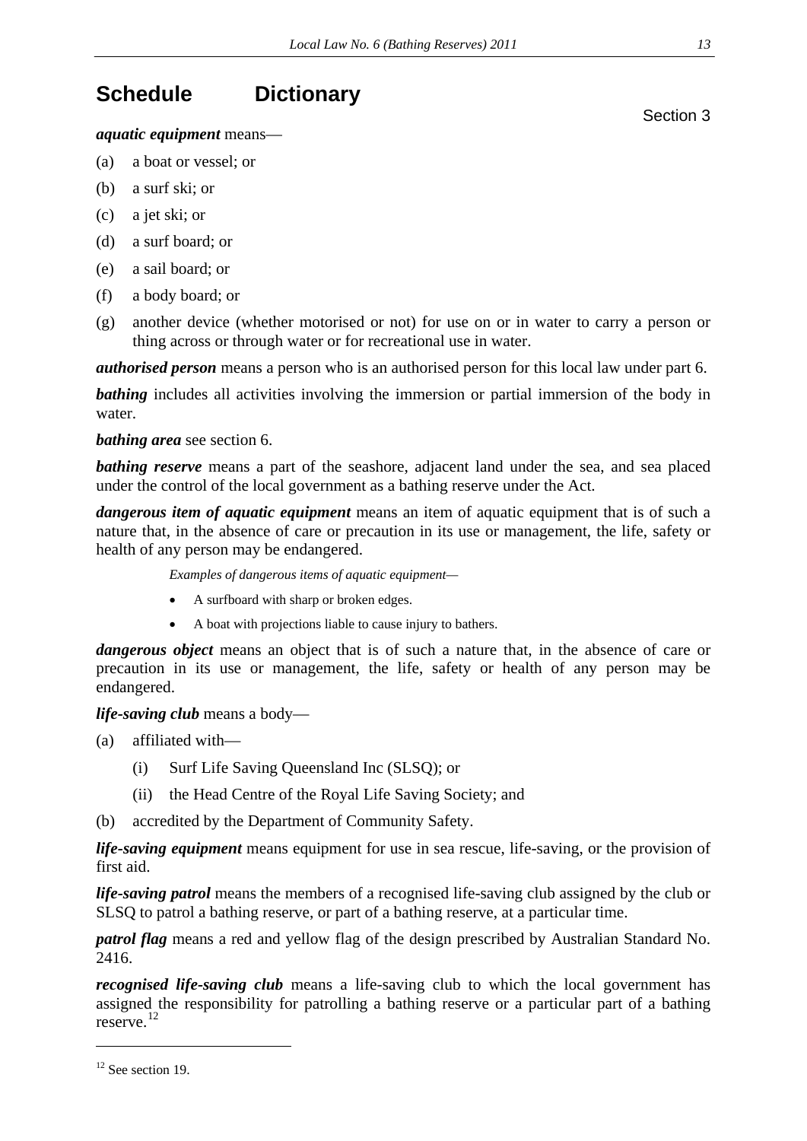## <span id="page-12-0"></span>**Schedule Dictionary**

*aquatic equipment* means—

- (a) a boat or vessel; or
- (b) a surf ski; or
- (c) a jet ski; or
- (d) a surf board; or
- (e) a sail board; or
- (f) a body board; or
- (g) another device (whether motorised or not) for use on or in water to carry a person or thing across or through water or for recreational use in water.

*authorised person* means a person who is an authorised person for this local law under part 6.

**bathing** includes all activities involving the immersion or partial immersion of the body in water.

*bathing area* see section 6.

**bathing reserve** means a part of the seashore, adjacent land under the sea, and sea placed under the control of the local government as a bathing reserve under the Act.

*dangerous item of aquatic equipment* means an item of aquatic equipment that is of such a nature that, in the absence of care or precaution in its use or management, the life, safety or health of any person may be endangered.

*Examples of dangerous items of aquatic equipment—* 

- A surfboard with sharp or broken edges.
- A boat with projections liable to cause injury to bathers.

*dangerous object* means an object that is of such a nature that, in the absence of care or precaution in its use or management, the life, safety or health of any person may be endangered.

*life-saving club* means a body—

- (a) affiliated with—
	- (i) Surf Life Saving Queensland Inc (SLSQ); or
	- (ii) the Head Centre of the Royal Life Saving Society; and
- (b) accredited by the Department of Community Safety.

*life-saving equipment* means equipment for use in sea rescue, life-saving, or the provision of first aid.

*life-saving patrol* means the members of a recognised life-saving club assigned by the club or SLSQ to patrol a bathing reserve, or part of a bathing reserve, at a particular time.

*patrol flag* means a red and yellow flag of the design prescribed by Australian Standard No. 2416.

*recognised life-saving club* means a life-saving club to which the local government has assigned the responsibility for patrolling a bathing reserve or a particular part of a bathing reserve.[12](#page-12-1)

<span id="page-12-1"></span><sup>12</sup> See section 19.

1

Section 3